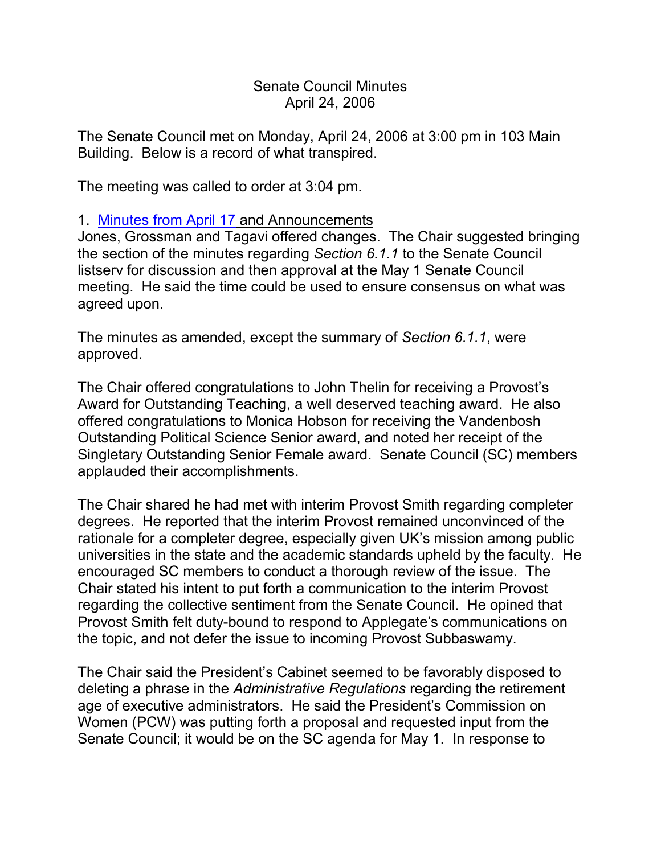Senate Council Minutes April 24, 2006

The Senate Council met on Monday, April 24, 2006 at 3:00 pm in 103 Main Building. Below is a record of what transpired.

The meeting was called to order at 3:04 pm.

## 1. [Minutes from April 17](http://www.uky.edu/USC/New/SCMinutes/2005-2006/SC%20Minutes%20April%2017%202006%20FINAL.htm) and Announcements

Jones, Grossman and Tagavi offered changes. The Chair suggested bringing the section of the minutes regarding *Section 6.1.1* to the Senate Council listserv for discussion and then approval at the May 1 Senate Council meeting. He said the time could be used to ensure consensus on what was agreed upon.

The minutes as amended, except the summary of *Section 6.1.1*, were approved.

The Chair offered congratulations to John Thelin for receiving a Provost's Award for Outstanding Teaching, a well deserved teaching award. He also offered congratulations to Monica Hobson for receiving the Vandenbosh Outstanding Political Science Senior award, and noted her receipt of the Singletary Outstanding Senior Female award. Senate Council (SC) members applauded their accomplishments.

The Chair shared he had met with interim Provost Smith regarding completer degrees. He reported that the interim Provost remained unconvinced of the rationale for a completer degree, especially given UK's mission among public universities in the state and the academic standards upheld by the faculty. He encouraged SC members to conduct a thorough review of the issue. The Chair stated his intent to put forth a communication to the interim Provost regarding the collective sentiment from the Senate Council. He opined that Provost Smith felt duty-bound to respond to Applegate's communications on the topic, and not defer the issue to incoming Provost Subbaswamy.

The Chair said the President's Cabinet seemed to be favorably disposed to deleting a phrase in the *Administrative Regulations* regarding the retirement age of executive administrators. He said the President's Commission on Women (PCW) was putting forth a proposal and requested input from the Senate Council; it would be on the SC agenda for May 1. In response to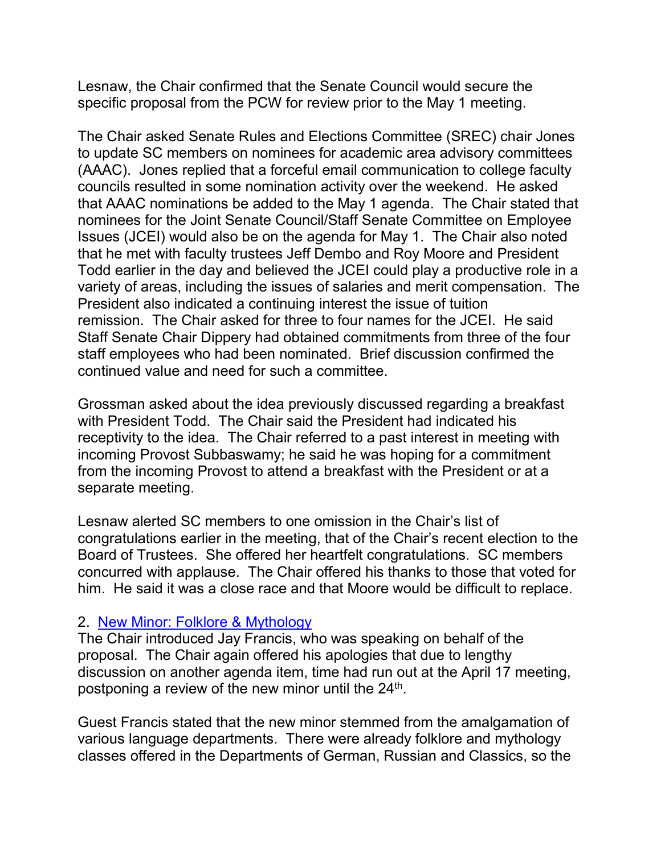Lesnaw, the Chair confirmed that the Senate Council would secure the specific proposal from the PCW for review prior to the May 1 meeting.

The Chair asked Senate Rules and Elections Committee (SREC) chair Jones to update SC members on nominees for academic area advisory committees (AAAC). Jones replied that a forceful email communication to college faculty councils resulted in some nomination activity over the weekend. He asked that AAAC nominations be added to the May 1 agenda. The Chair stated that nominees for the Joint Senate Council/Staff Senate Committee on Employee Issues (JCEI) would also be on the agenda for May 1. The Chair also noted that he met with faculty trustees Jeff Dembo and Roy Moore and President Todd earlier in the day and believed the JCEI could play a productive role in a variety of areas, including the issues of salaries and merit compensation. The President also indicated a continuing interest the issue of tuition remission. The Chair asked for three to four names for the JCEI. He said Staff Senate Chair Dippery had obtained commitments from three of the four staff employees who had been nominated. Brief discussion confirmed the continued value and need for such a committee.

Grossman asked about the idea previously discussed regarding a breakfast with President Todd. The Chair said the President had indicated his receptivity to the idea. The Chair referred to a past interest in meeting with incoming Provost Subbaswamy; he said he was hoping for a commitment from the incoming Provost to attend a breakfast with the President or at a separate meeting.

Lesnaw alerted SC members to one omission in the Chair's list of congratulations earlier in the meeting, that of the Chair's recent election to the Board of Trustees. She offered her heartfelt congratulations. SC members concurred with applause. The Chair offered his thanks to those that voted for him. He said it was a close race and that Moore would be difficult to replace.

## 2. [New Minor: Folklore & Mythology](http://www.uky.edu/USC/New/SCAgendas/20060417/New%20Minor%20Folklore%20and%20Mythology_SC.pdf)

The Chair introduced Jay Francis, who was speaking on behalf of the proposal. The Chair again offered his apologies that due to lengthy discussion on another agenda item, time had run out at the April 17 meeting, postponing a review of the new minor until the  $24<sup>th</sup>$ .

Guest Francis stated that the new minor stemmed from the amalgamation of various language departments. There were already folklore and mythology classes offered in the Departments of German, Russian and Classics, so the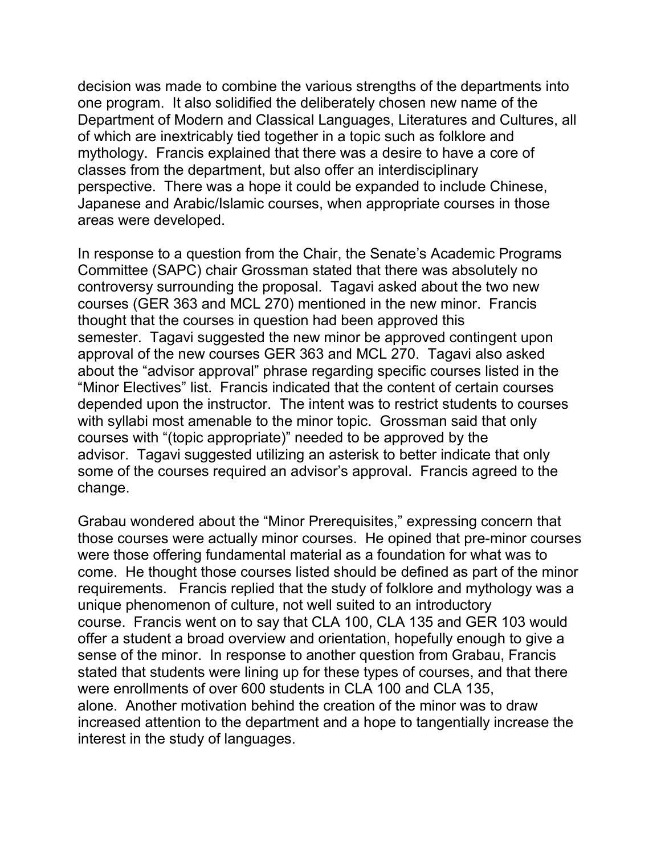decision was made to combine the various strengths of the departments into one program. It also solidified the deliberately chosen new name of the Department of Modern and Classical Languages, Literatures and Cultures, all of which are inextricably tied together in a topic such as folklore and mythology. Francis explained that there was a desire to have a core of classes from the department, but also offer an interdisciplinary perspective. There was a hope it could be expanded to include Chinese, Japanese and Arabic/Islamic courses, when appropriate courses in those areas were developed.

In response to a question from the Chair, the Senate's Academic Programs Committee (SAPC) chair Grossman stated that there was absolutely no controversy surrounding the proposal. Tagavi asked about the two new courses (GER 363 and MCL 270) mentioned in the new minor. Francis thought that the courses in question had been approved this semester. Tagavi suggested the new minor be approved contingent upon approval of the new courses GER 363 and MCL 270. Tagavi also asked about the "advisor approval" phrase regarding specific courses listed in the "Minor Electives" list. Francis indicated that the content of certain courses depended upon the instructor. The intent was to restrict students to courses with syllabi most amenable to the minor topic. Grossman said that only courses with "(topic appropriate)" needed to be approved by the advisor. Tagavi suggested utilizing an asterisk to better indicate that only some of the courses required an advisor's approval. Francis agreed to the change.

Grabau wondered about the "Minor Prerequisites," expressing concern that those courses were actually minor courses. He opined that pre-minor courses were those offering fundamental material as a foundation for what was to come. He thought those courses listed should be defined as part of the minor requirements. Francis replied that the study of folklore and mythology was a unique phenomenon of culture, not well suited to an introductory course. Francis went on to say that CLA 100, CLA 135 and GER 103 would offer a student a broad overview and orientation, hopefully enough to give a sense of the minor. In response to another question from Grabau, Francis stated that students were lining up for these types of courses, and that there were enrollments of over 600 students in CLA 100 and CLA 135, alone. Another motivation behind the creation of the minor was to draw increased attention to the department and a hope to tangentially increase the interest in the study of languages.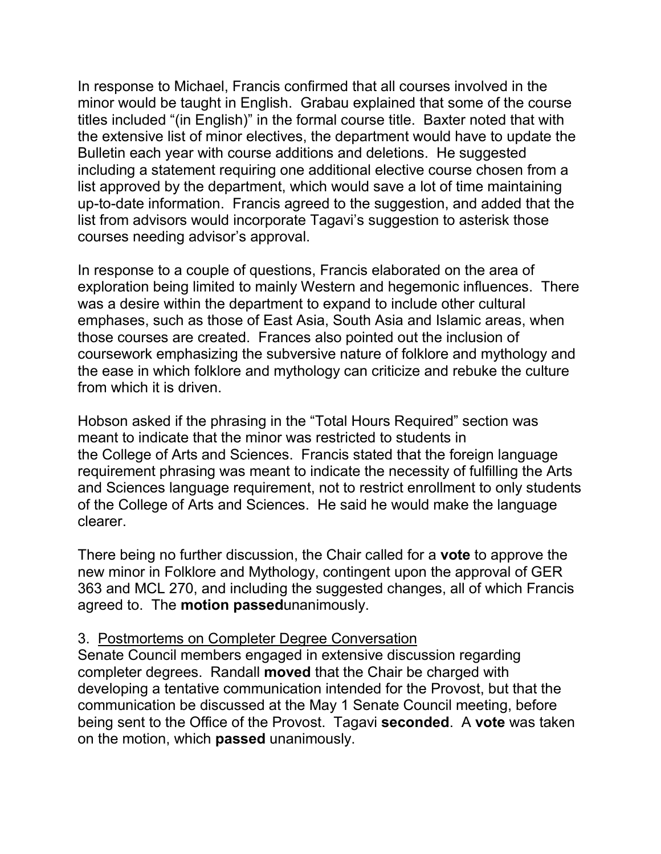In response to Michael, Francis confirmed that all courses involved in the minor would be taught in English. Grabau explained that some of the course titles included "(in English)" in the formal course title. Baxter noted that with the extensive list of minor electives, the department would have to update the Bulletin each year with course additions and deletions. He suggested including a statement requiring one additional elective course chosen from a list approved by the department, which would save a lot of time maintaining up-to-date information. Francis agreed to the suggestion, and added that the list from advisors would incorporate Tagavi's suggestion to asterisk those courses needing advisor's approval.

In response to a couple of questions, Francis elaborated on the area of exploration being limited to mainly Western and hegemonic influences. There was a desire within the department to expand to include other cultural emphases, such as those of East Asia, South Asia and Islamic areas, when those courses are created. Frances also pointed out the inclusion of coursework emphasizing the subversive nature of folklore and mythology and the ease in which folklore and mythology can criticize and rebuke the culture from which it is driven.

Hobson asked if the phrasing in the "Total Hours Required" section was meant to indicate that the minor was restricted to students in the College of Arts and Sciences. Francis stated that the foreign language requirement phrasing was meant to indicate the necessity of fulfilling the Arts and Sciences language requirement, not to restrict enrollment to only students of the College of Arts and Sciences. He said he would make the language clearer.

There being no further discussion, the Chair called for a **vote** to approve the new minor in Folklore and Mythology, contingent upon the approval of GER 363 and MCL 270, and including the suggested changes, all of which Francis agreed to. The **motion passed**unanimously.

## 3. Postmortems on Completer Degree Conversation

Senate Council members engaged in extensive discussion regarding completer degrees. Randall **moved** that the Chair be charged with developing a tentative communication intended for the Provost, but that the communication be discussed at the May 1 Senate Council meeting, before being sent to the Office of the Provost. Tagavi **seconded**. A **vote** was taken on the motion, which **passed** unanimously.